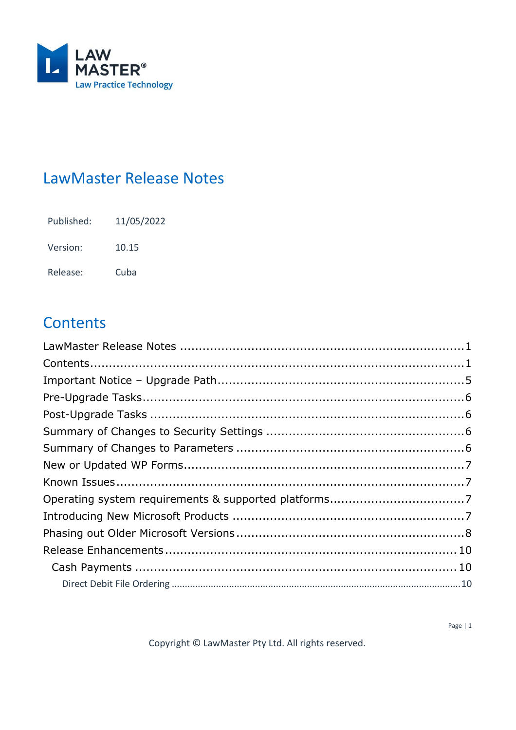

# <span id="page-0-0"></span>**LawMaster Release Notes**

11/05/2022 Published:

Version: 10.15

Release: Cuba

# <span id="page-0-1"></span>**Contents**

Copyright © LawMaster Pty Ltd. All rights reserved.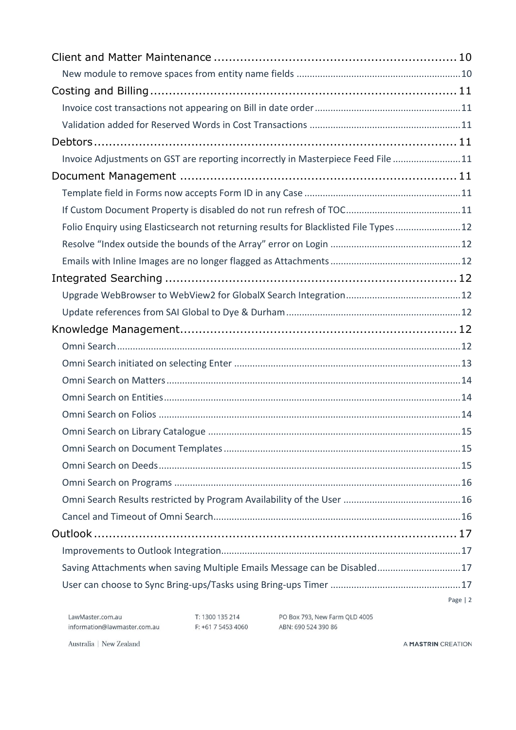| Invoice Adjustments on GST are reporting incorrectly in Masterpiece Feed File 11      |           |
|---------------------------------------------------------------------------------------|-----------|
|                                                                                       |           |
|                                                                                       |           |
|                                                                                       |           |
| Folio Enquiry using Elasticsearch not returning results for Blacklisted File Types 12 |           |
|                                                                                       |           |
|                                                                                       |           |
|                                                                                       |           |
|                                                                                       |           |
|                                                                                       |           |
|                                                                                       |           |
|                                                                                       |           |
|                                                                                       |           |
|                                                                                       |           |
|                                                                                       |           |
|                                                                                       |           |
|                                                                                       |           |
|                                                                                       |           |
|                                                                                       |           |
|                                                                                       |           |
|                                                                                       |           |
|                                                                                       |           |
|                                                                                       |           |
|                                                                                       |           |
| Saving Attachments when saving Multiple Emails Message can be Disabled17              |           |
|                                                                                       |           |
|                                                                                       | Page $ 2$ |

T: 1300 135 214 PO Box 793, New Farm QLD 4005<br>F: +61 7 5453 4060 ABN: 690 524 390 86

Australia | New Zealand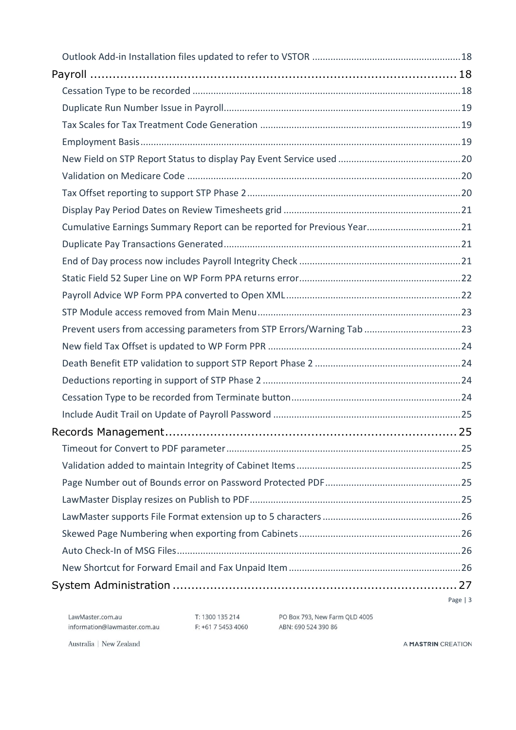| Cumulative Earnings Summary Report can be reported for Previous Year21 |          |
|------------------------------------------------------------------------|----------|
|                                                                        |          |
|                                                                        |          |
|                                                                        |          |
|                                                                        |          |
|                                                                        |          |
|                                                                        |          |
|                                                                        |          |
|                                                                        |          |
|                                                                        |          |
|                                                                        |          |
|                                                                        |          |
|                                                                        |          |
|                                                                        |          |
|                                                                        |          |
|                                                                        |          |
|                                                                        |          |
|                                                                        |          |
|                                                                        |          |
|                                                                        |          |
|                                                                        |          |
|                                                                        |          |
|                                                                        | Page   3 |

T: 1300 135 214 PO Box 793, New Farm QLD 4005<br>F: +61 7 5453 4060 ABN: 690 524 390 86

Australia | New Zealand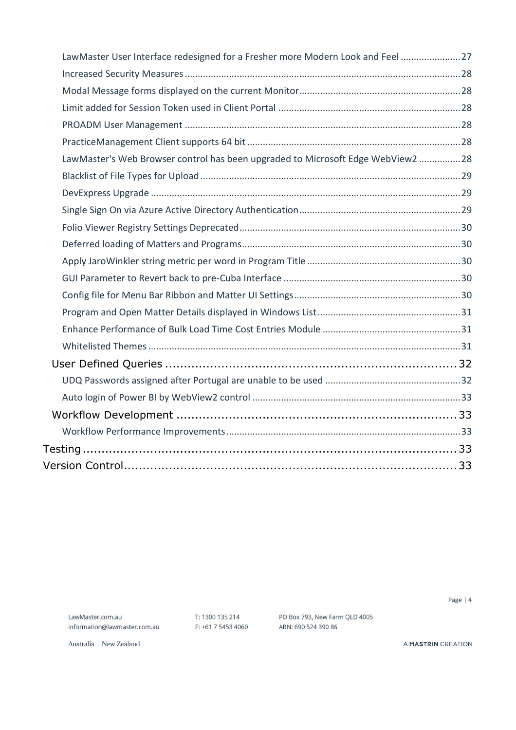| LawMaster User Interface redesigned for a Fresher more Modern Look and Feel 27 |  |
|--------------------------------------------------------------------------------|--|
|                                                                                |  |
|                                                                                |  |
|                                                                                |  |
|                                                                                |  |
|                                                                                |  |
| LawMaster's Web Browser control has been upgraded to Microsoft Edge WebView228 |  |
|                                                                                |  |
|                                                                                |  |
|                                                                                |  |
|                                                                                |  |
|                                                                                |  |
|                                                                                |  |
|                                                                                |  |
|                                                                                |  |
|                                                                                |  |
|                                                                                |  |
|                                                                                |  |
|                                                                                |  |
|                                                                                |  |
|                                                                                |  |
|                                                                                |  |
|                                                                                |  |
|                                                                                |  |
|                                                                                |  |

LawMaster.com.au information@lawmaster.com.au T: 1300 135 214 F: +61 7 5453 4060 PO Box 793, New Farm QLD 4005 ABN: 690 524 390 86

Page | 4

Australia | New Zealand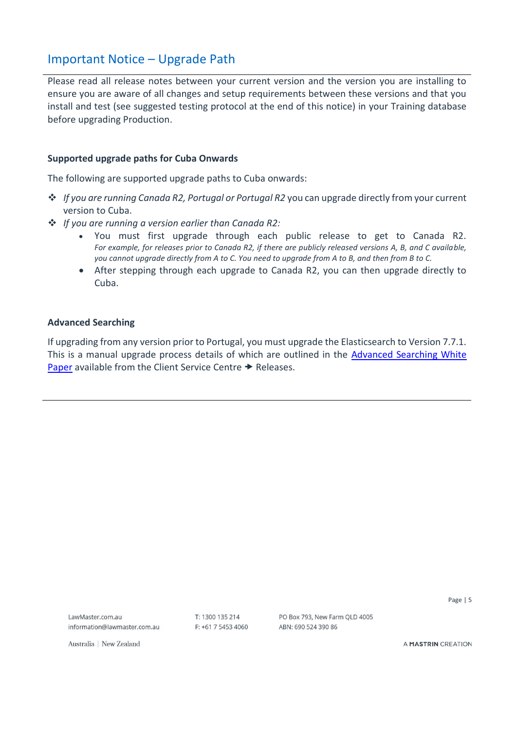# <span id="page-4-0"></span>Important Notice – Upgrade Path

Please read all release notes between your current version and the version you are installing to ensure you are aware of all changes and setup requirements between these versions and that you install and test (see suggested testing protocol at the end of this notice) in your Training database before upgrading Production.

#### **Supported upgrade paths for Cuba Onwards**

The following are supported upgrade paths to Cuba onwards:

- ❖ *If you are running Canada R2, Portugal or Portugal R2* you can upgrade directly from your current version to Cuba.
- ❖ *If you are running a version earlier than Canada R2:*
	- You must first upgrade through each public release to get to Canada R2. *For example, for releases prior to Canada R2, if there are publicly released versions A, B, and C available, you cannot upgrade directly from A to C. You need to upgrade from A to B, and then from B to C.*
	- After stepping through each upgrade to Canada R2, you can then upgrade directly to Cuba.

#### **Advanced Searching**

If upgrading from any version prior to Portugal, you must upgrade the Elasticsearch to Version 7.7.1. This is a manual upgrade process details of which are outlined in the **Advanced Searching White** [Paper](https://members.lawmaster.com.au/lmhelp/v10/rn/Elasticsearch%207.7.1%20-%20Whitepaper.pdf) available from the Client Service Centre  $\rightarrow$  Releases.

LawMaster com au information@lawmaster.com.au  $T: 1300135214$  $F: +61754534060$  PO Box 793, New Farm OLD 4005 ARN: 690 524 390 86

Page | 5

Australia | New Zealand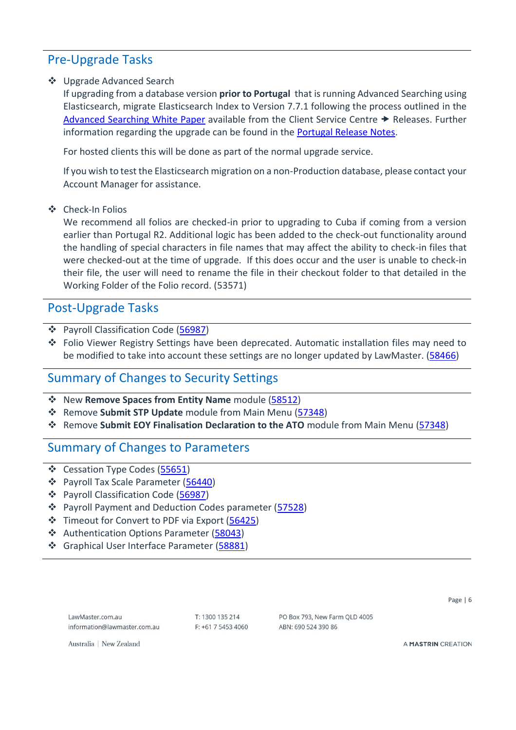# <span id="page-5-0"></span>Pre-Upgrade Tasks

#### ❖ Upgrade Advanced Search

If upgrading from a database version **prior to Portugal** that is running Advanced Searching using Elasticsearch, migrate Elasticsearch Index to Version 7.7.1 following the process outlined in the [Advanced Searching White Paper](https://members.lawmaster.com.au/lmhelp/v10/rn/Elasticsearch%207.7.1%20-%20Whitepaper.pdf) available from the Client Service Centre  $\rightarrow$  Releases. Further information regarding the upgrade can be found in the [Portugal Release Notes.](https://kb.lawmaster.com.au/download/attachments/63733784/Portugal%20Release%20Notes%20%28V3%29%2019.03.21.pdf?version=1&modificationDate=1616110599453&api=v2)

For hosted clients this will be done as part of the normal upgrade service.

If you wish to test the Elasticsearch migration on a non-Production database, please contact your Account Manager for assistance.

#### ❖ Check-In Folios

We recommend all folios are checked-in prior to upgrading to Cuba if coming from a version earlier than Portugal R2. Additional logic has been added to the check-out functionality around the handling of special characters in file names that may affect the ability to check-in files that were checked-out at the time of upgrade. If this does occur and the user is unable to check-in their file, the user will need to rename the file in their checkout folder to that detailed in the Working Folder of the Folio record. (53571)

# <span id="page-5-1"></span>Post-Upgrade Tasks

- ❖ Payroll Classification Code [\(56987\)](#page-18-2)
- ❖ Folio Viewer Registry Settings have been deprecated. Automatic installation files may need to be modified to take into account these settings are no longer updated by LawMaster. [\(58466\)](#page-29-0)

# <span id="page-5-2"></span>Summary of Changes to Security Settings

- ❖ New **Remove Spaces from Entity Name** module [\(58512\)](#page-9-4)
- ❖ Remove **Submit STP Update** module from Main Menu [\(57348\)](#page-22-0)
- ❖ Remove **Submit EOY Finalisation Declaration to the ATO** module from Main Menu [\(57348\)](#page-22-0)

# <span id="page-5-3"></span>Summary of Changes to Parameters

- ❖ Cessation Type Codes [\(55651\)](#page-17-2)
- ❖ Payroll Tax Scale Parameter [\(56440\)](#page-18-1)
- ❖ Payroll Classification Code [\(56987\)](#page-18-2)
- ❖ Payroll Payment and Deduction Codes parameter [\(57528\)](#page-23-2)
- ❖ Timeout for Convert to PDF via Export [\(56425\)](#page-24-2)
- ❖ Authentication Options Parameter [\(58043\)](#page-28-2)
- ❖ Graphical User Interface Parameter [\(58881\)](#page-29-3)

 $T: 1300135214$  $F: +61754534060$  PO Box 793 New Farm OLD 4005 ARN: 690 524 390 86

Page | 6

Australia | New Zealand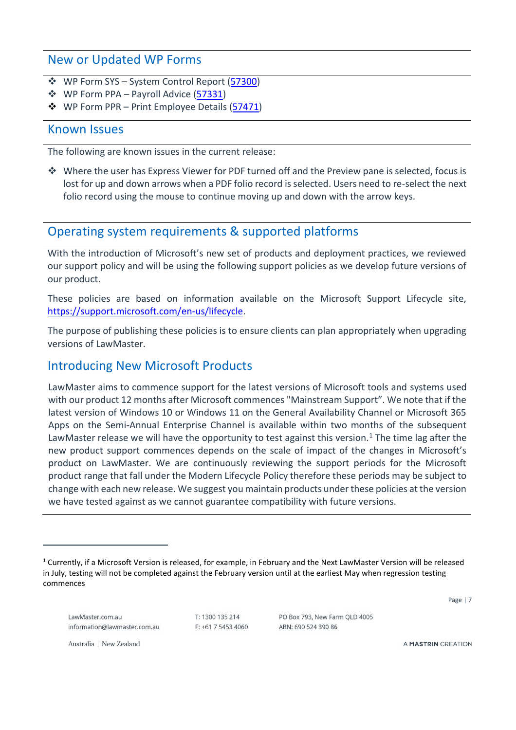# <span id="page-6-0"></span>New or Updated WP Forms

- ❖ WP Form SYS System Control Report [\(57300\)](#page-20-3)
- ❖ WP Form PPA Payroll Advice [\(57331\)](#page-21-1)
- ❖ WP Form PPR Print Employee Details [\(57471\)](#page-22-2)

### <span id="page-6-1"></span>Known Issues

The following are known issues in the current release:

❖ Where the user has Express Viewer for PDF turned off and the Preview pane is selected, focus is lost for up and down arrows when a PDF folio record is selected. Users need to re-select the next folio record using the mouse to continue moving up and down with the arrow keys.

# <span id="page-6-2"></span>Operating system requirements & supported platforms

With the introduction of Microsoft's new set of products and deployment practices, we reviewed our support policy and will be using the following support policies as we develop future versions of our product.

These policies are based on information available on the Microsoft Support Lifecycle site, [https://support.microsoft.com/en-us/lifecycle.](https://support.microsoft.com/en-us/lifecycle)

The purpose of publishing these policies is to ensure clients can plan appropriately when upgrading versions of LawMaster.

# <span id="page-6-3"></span>Introducing New Microsoft Products

LawMaster aims to commence support for the latest versions of Microsoft tools and systems used with our product 12 months after Microsoft commences "Mainstream Support". We note that if the latest version of Windows 10 or Windows 11 on the General Availability Channel or Microsoft 365 Apps on the Semi-Annual Enterprise Channel is available within two months of the subsequent LawMaster release we will have the opportunity to test against this version.<sup>1</sup> The time lag after the new product support commences depends on the scale of impact of the changes in Microsoft's product on LawMaster. We are continuously reviewing the support periods for the Microsoft product range that fall under the Modern Lifecycle Policy therefore these periods may be subject to change with each new release. We suggest you maintain products under these policies at the version we have tested against as we cannot guarantee compatibility with future versions.

Page | 7

LawMaster com au information@lawmaster.com.au  $T: 1300135214$  $F$ : +61 7 5453 4060

PO Box 793 New Farm OLD 4005 ARN: 690 524 390 86

Australia | New Zealand

 $1$  Currently, if a Microsoft Version is released, for example, in February and the Next LawMaster Version will be released in July, testing will not be completed against the February version until at the earliest May when regression testing commences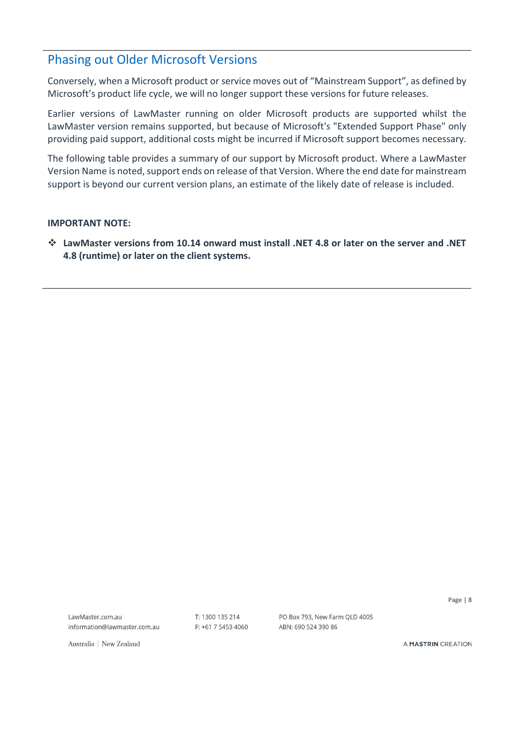# <span id="page-7-0"></span>Phasing out Older Microsoft Versions

Conversely, when a Microsoft product or service moves out of "Mainstream Support", as defined by Microsoft's product life cycle, we will no longer support these versions for future releases.

Earlier versions of LawMaster running on older Microsoft products are supported whilst the LawMaster version remains supported, but because of Microsoft's "Extended Support Phase" only providing paid support, additional costs might be incurred if Microsoft support becomes necessary.

The following table provides a summary of our support by Microsoft product. Where a LawMaster Version Name is noted, support ends on release of that Version. Where the end date for mainstream support is beyond our current version plans, an estimate of the likely date of release is included.

#### **IMPORTANT NOTE:**

❖ **LawMaster versions from 10.14 onward must install .NET 4.8 or later on the server and .NET 4.8 (runtime) or later on the client systems.**

LawMaster com au information@lawmaster.com.au T: 1300 135 214  $F: +61$  7 5453 4060 PO Box 793, New Farm OLD 4005 ARN: 690 524 390 86

Page | 8

Australia | New Zealand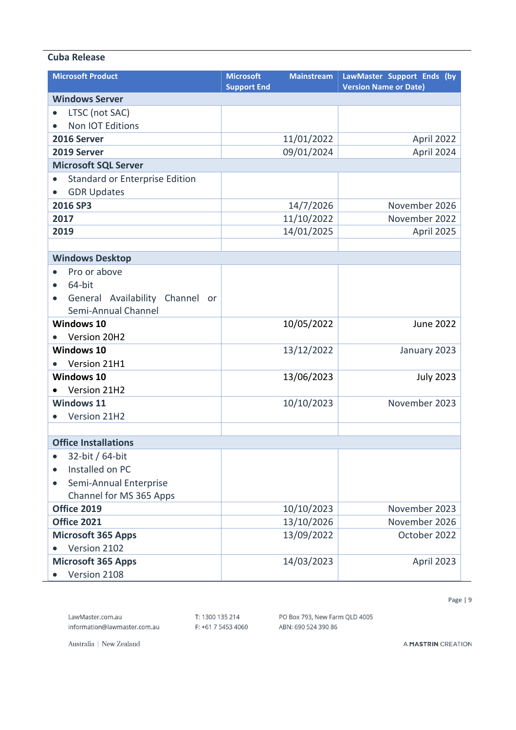#### **Cuba Release**

| <b>Microsoft Product</b>                                                              | <b>Microsoft</b><br><b>Mainstream</b><br><b>Support End</b> | LawMaster Support Ends (by<br><b>Version Name or Date)</b> |
|---------------------------------------------------------------------------------------|-------------------------------------------------------------|------------------------------------------------------------|
| <b>Windows Server</b>                                                                 |                                                             |                                                            |
| LTSC (not SAC)<br>$\bullet$                                                           |                                                             |                                                            |
| Non IOT Editions<br>$\bullet$                                                         |                                                             |                                                            |
| 2016 Server                                                                           | 11/01/2022                                                  | April 2022                                                 |
| 2019 Server                                                                           | 09/01/2024                                                  | April 2024                                                 |
| <b>Microsoft SQL Server</b>                                                           |                                                             |                                                            |
| <b>Standard or Enterprise Edition</b><br>$\bullet$<br><b>GDR Updates</b><br>$\bullet$ |                                                             |                                                            |
| 2016 SP3                                                                              | 14/7/2026                                                   | November 2026                                              |
| 2017                                                                                  | 11/10/2022                                                  | November 2022                                              |
| 2019                                                                                  | 14/01/2025                                                  | April 2025                                                 |
|                                                                                       |                                                             |                                                            |
| <b>Windows Desktop</b>                                                                |                                                             |                                                            |
| Pro or above<br>$\bullet$<br>64-bit<br>$\bullet$                                      |                                                             |                                                            |
| General Availability Channel or<br>$\bullet$<br>Semi-Annual Channel                   |                                                             |                                                            |
| <b>Windows 10</b>                                                                     | 10/05/2022                                                  | <b>June 2022</b>                                           |
| Version 20H2<br>$\bullet$                                                             |                                                             |                                                            |
| Windows 10                                                                            | 13/12/2022                                                  | January 2023                                               |
| Version 21H1<br>$\bullet$                                                             |                                                             |                                                            |
| Windows 10                                                                            | 13/06/2023                                                  | <b>July 2023</b>                                           |
| Version 21H2                                                                          |                                                             |                                                            |
| <b>Windows 11</b><br>Version 21H2<br>$\bullet$                                        | 10/10/2023                                                  | November 2023                                              |
|                                                                                       |                                                             |                                                            |
| <b>Office Installations</b>                                                           |                                                             |                                                            |
| 32-bit / 64-bit<br>$\bullet$                                                          |                                                             |                                                            |
| Installed on PC<br>$\bullet$                                                          |                                                             |                                                            |
| Semi-Annual Enterprise<br>$\bullet$                                                   |                                                             |                                                            |
| Channel for MS 365 Apps                                                               |                                                             |                                                            |
| <b>Office 2019</b>                                                                    | 10/10/2023                                                  | November 2023                                              |
| <b>Office 2021</b>                                                                    | 13/10/2026                                                  | November 2026                                              |
| <b>Microsoft 365 Apps</b>                                                             | 13/09/2022                                                  | October 2022                                               |
| Version 2102                                                                          |                                                             |                                                            |
| <b>Microsoft 365 Apps</b>                                                             | 14/03/2023                                                  | April 2023                                                 |
| Version 2108                                                                          |                                                             |                                                            |

Page | 9

information@lawmaster.com.au

T: 1300 135 214 F: +61 7 5453 4060 PO Box 793, New Farm QLD 4005 ABN: 690 524 390 86

Australia | New Zealand

LawMaster.com.au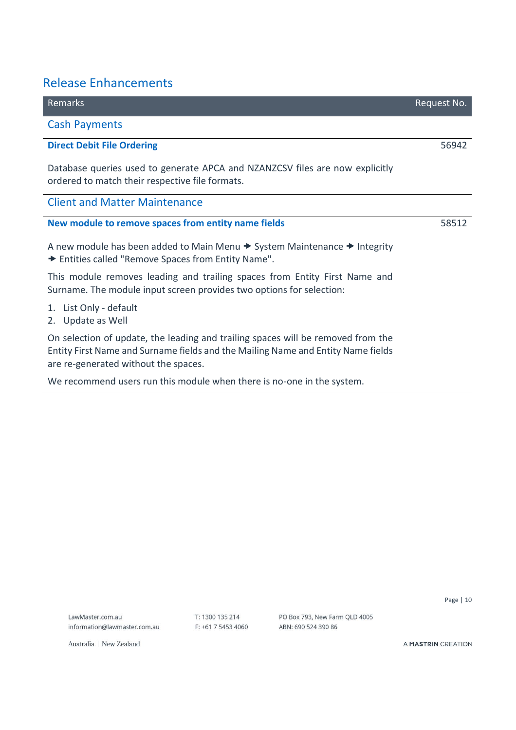# <span id="page-9-0"></span>Release Enhancements

<span id="page-9-2"></span><span id="page-9-1"></span>

| Remarks                                                                                                                         | Request No. |
|---------------------------------------------------------------------------------------------------------------------------------|-------------|
| <b>Cash Payments</b>                                                                                                            |             |
| <b>Direct Debit File Ordering</b>                                                                                               | 56942       |
| Database queries used to generate APCA and NZANZCSV files are now explicitly<br>ordered to match their respective file formats. |             |
| <b>Client and Matter Maintenance</b>                                                                                            |             |
| New module to remove spaces from entity name fields                                                                             | 58512       |
| A new module has been added to Main Menu $\rightarrow$ System Maintenance $\rightarrow$ Integrity                               |             |

<span id="page-9-4"></span><span id="page-9-3"></span>A new module has been added to Main Menu  $\rightarrow$  System Maintenance  $\rightarrow$  integrity Entities called "Remove Spaces from Entity Name".

This module removes leading and trailing spaces from Entity First Name and Surname. The module input screen provides two options for selection:

- 1. List Only default
- 2. Update as Well

On selection of update, the leading and trailing spaces will be removed from the Entity First Name and Surname fields and the Mailing Name and Entity Name fields are re-generated without the spaces.

We recommend users run this module when there is no-one in the system.

LawMaster com au information@lawmaster.com.au T: 1300 135 214 F: +61 7 5453 4060 PO Box 793, New Farm QLD 4005 ABN: 690 524 390 86

Page | 10

Australia | New Zealand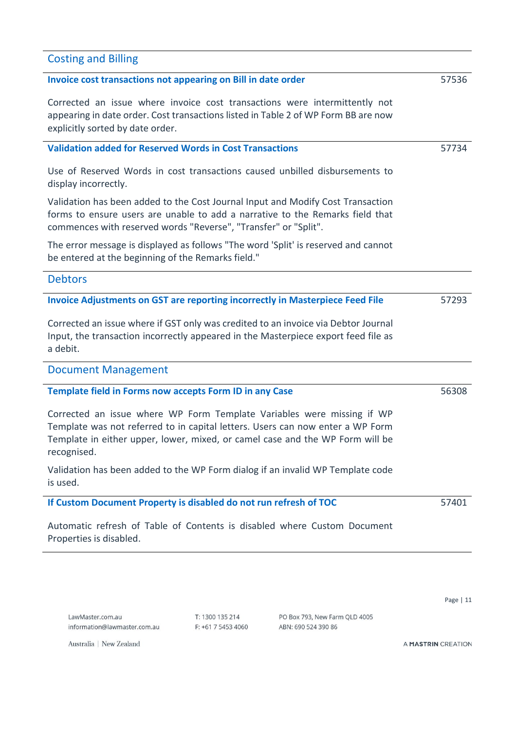# <span id="page-10-4"></span><span id="page-10-3"></span><span id="page-10-2"></span><span id="page-10-1"></span>**Invoice cost transactions not appearing on Bill in date order** Corrected an issue where invoice cost transactions were intermittently not appearing in date order. Cost transactions listed in Table 2 of WP Form BB are now explicitly sorted by date order. 57536 **Validation added for Reserved Words in Cost Transactions**  Use of Reserved Words in cost transactions caused unbilled disbursements to display incorrectly. Validation has been added to the Cost Journal Input and Modify Cost Transaction forms to ensure users are unable to add a narrative to the Remarks field that commences with reserved words "Reverse", "Transfer" or "Split". The error message is displayed as follows "The word 'Split' is reserved and cannot be entered at the beginning of the Remarks field." 57734 **Debtors Invoice Adjustments on GST are reporting incorrectly in Masterpiece Feed File** Corrected an issue where if GST only was credited to an invoice via Debtor Journal Input, the transaction incorrectly appeared in the Masterpiece export feed file as a debit. 57293 Document Management **Template field in Forms now accepts Form ID in any Case** Corrected an issue where WP Form Template Variables were missing if WP Template was not referred to in capital letters. Users can now enter a WP Form Template in either upper, lower, mixed, or camel case and the WP Form will be recognised. Validation has been added to the WP Form dialog if an invalid WP Template code is used. 56308 **If Custom Document Property is disabled do not run refresh of TOC** 57401

<span id="page-10-7"></span><span id="page-10-6"></span><span id="page-10-5"></span>Automatic refresh of Table of Contents is disabled where Custom Document Properties is disabled.

 $T: 1300135214$  $F$ : +61 7 5453 4060

PO Box 793, New Farm QLD 4005 ARN: 690 524 390 86

A MASTRIN CREATION

Australia | New Zealand

<span id="page-10-0"></span>Costing and Billing

Page | 11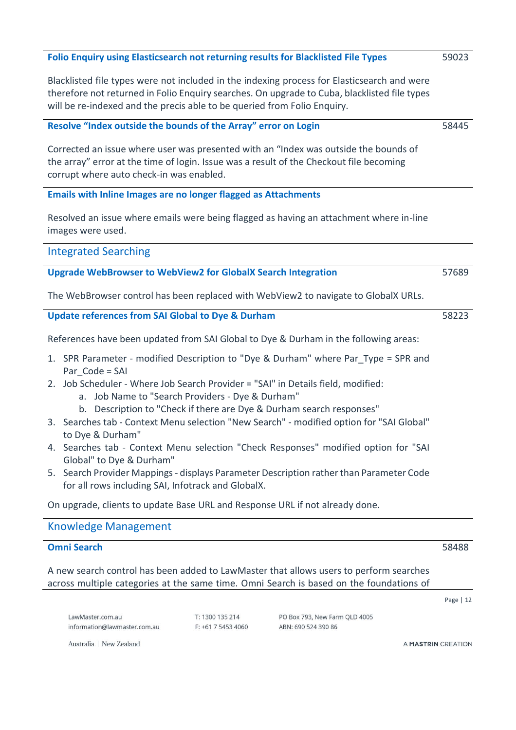<span id="page-11-5"></span><span id="page-11-4"></span><span id="page-11-3"></span><span id="page-11-2"></span><span id="page-11-1"></span><span id="page-11-0"></span>Page | 12 **Folio Enquiry using Elasticsearch not returning results for Blacklisted File Types** Blacklisted file types were not included in the indexing process for Elasticsearch and were therefore not returned in Folio Enquiry searches. On upgrade to Cuba, blacklisted file types will be re-indexed and the precis able to be queried from Folio Enquiry. 59023 **Resolve "Index outside the bounds of the Array" error on Login** Corrected an issue where user was presented with an "Index was outside the bounds of the array" error at the time of login. Issue was a result of the Checkout file becoming corrupt where auto check-in was enabled. 58445 **Emails with Inline Images are no longer flagged as Attachments** Resolved an issue where emails were being flagged as having an attachment where in-line images were used. Integrated Searching **Upgrade WebBrowser to WebView2 for GlobalX Search Integration** The WebBrowser control has been replaced with WebView2 to navigate to GlobalX URLs. 57689 **Update references from SAI Global to Dye & Durham**  References have been updated from SAI Global to Dye & Durham in the following areas: 1. SPR Parameter - modified Description to "Dye & Durham" where Par\_Type = SPR and Par\_Code = SAI 2. Job Scheduler - Where Job Search Provider = "SAI" in Details field, modified: a. Job Name to "Search Providers - Dye & Durham" b. Description to "Check if there are Dye & Durham search responses" 3. Searches tab - Context Menu selection "New Search" - modified option for "SAI Global" to Dye & Durham" 4. Searches tab - Context Menu selection "Check Responses" modified option for "SAI Global" to Dye & Durham" 5. Search Provider Mappings - displays Parameter Description rather than Parameter Code for all rows including SAI, Infotrack and GlobalX. On upgrade, clients to update Base URL and Response URL if not already done. 58223 Knowledge Management **Omni Search** A new search control has been added to LawMaster that allows users to perform searches across multiple categories at the same time. Omni Search is based on the foundations of 58488

 $T: 1300135214$ 

 $F$ : +61 7 5453 4060

PO Box 793, New Farm QLD 4005

ARN: 690 524 390 86

Australia | New Zealand

information@lawmaster.com.au

<span id="page-11-7"></span><span id="page-11-6"></span>LawMaster com au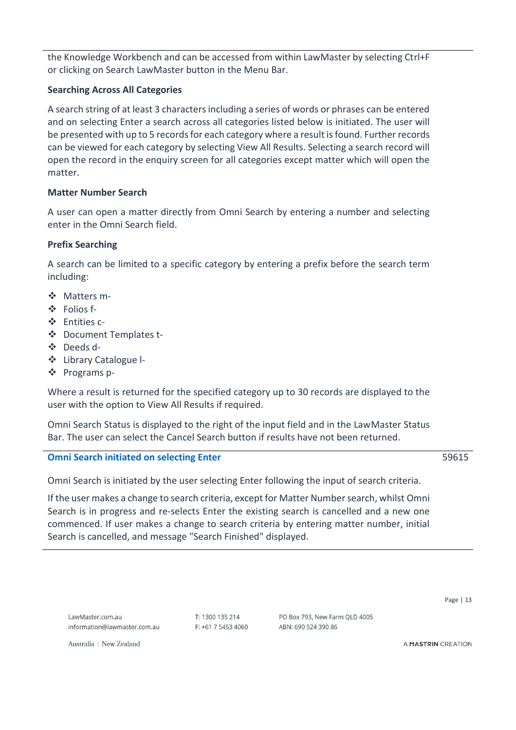the Knowledge Workbench and can be accessed from within LawMaster by selecting Ctrl+F or clicking on Search LawMaster button in the Menu Bar.

#### **Searching Across All Categories**

A search string of at least 3 characters including a series of words or phrases can be entered and on selecting Enter a search across all categories listed below is initiated. The user will be presented with up to 5 records for each category where a result is found. Further records can be viewed for each category by selecting View All Results. Selecting a search record will open the record in the enquiry screen for all categories except matter which will open the matter.

#### **Matter Number Search**

A user can open a matter directly from Omni Search by entering a number and selecting enter in the Omni Search field.

#### **Prefix Searching**

A search can be limited to a specific category by entering a prefix before the search term including:

- ❖ Matters m-
- ❖ Folios f-
- ❖ Entities c-
- ❖ Document Templates t-
- ❖ Deeds d-
- ❖ Library Catalogue l-
- ❖ Programs p-

Where a result is returned for the specified category up to 30 records are displayed to the user with the option to View All Results if required.

Omni Search Status is displayed to the right of the input field and in the LawMaster Status Bar. The user can select the Cancel Search button if results have not been returned.

#### <span id="page-12-0"></span>**Omni Search initiated on selecting Enter**

Omni Search is initiated by the user selecting Enter following the input of search criteria.

If the user makes a change to search criteria, except for Matter Number search, whilst Omni Search is in progress and re-selects Enter the existing search is cancelled and a new one commenced. If user makes a change to search criteria by entering matter number, initial Search is cancelled, and message "Search Finished" displayed.

 $T: 1300135214$  $F: +61754534060$ 

PO Box 793 New Farm OLD 4005 ARN: 690 524 390 86

59615

Page | 13

A MASTRIN CREATION

Australia | New Zealand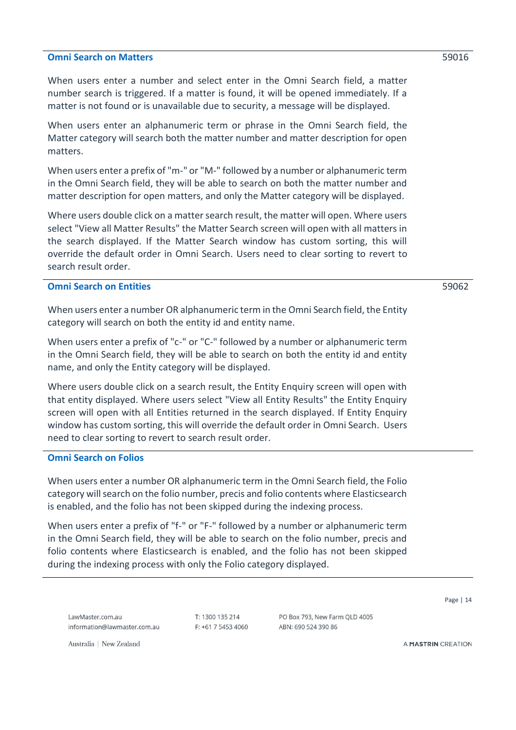#### <span id="page-13-0"></span>**Omni Search on Matters**

When users enter a number and select enter in the Omni Search field, a matter number search is triggered. If a matter is found, it will be opened immediately. If a matter is not found or is unavailable due to security, a message will be displayed.

When users enter an alphanumeric term or phrase in the Omni Search field, the Matter category will search both the matter number and matter description for open matters.

When users enter a prefix of "m-" or "M-" followed by a number or alphanumeric term in the Omni Search field, they will be able to search on both the matter number and matter description for open matters, and only the Matter category will be displayed.

Where users double click on a matter search result, the matter will open. Where users select "View all Matter Results" the Matter Search screen will open with all matters in the search displayed. If the Matter Search window has custom sorting, this will override the default order in Omni Search. Users need to clear sorting to revert to search result order.

#### <span id="page-13-1"></span>**Omni Search on Entities**

59062

When users enter a number OR alphanumeric term in the Omni Search field, the Entity category will search on both the entity id and entity name.

When users enter a prefix of "c-" or "C-" followed by a number or alphanumeric term in the Omni Search field, they will be able to search on both the entity id and entity name, and only the Entity category will be displayed.

Where users double click on a search result, the Entity Enquiry screen will open with that entity displayed. Where users select "View all Entity Results" the Entity Enquiry screen will open with all Entities returned in the search displayed. If Entity Enquiry window has custom sorting, this will override the default order in Omni Search. Users need to clear sorting to revert to search result order.

#### <span id="page-13-2"></span>**Omni Search on Folios**

When users enter a number OR alphanumeric term in the Omni Search field, the Folio category will search on the folio number, precis and folio contents where Elasticsearch is enabled, and the folio has not been skipped during the indexing process.

When users enter a prefix of "f-" or "F-" followed by a number or alphanumeric term in the Omni Search field, they will be able to search on the folio number, precis and folio contents where Elasticsearch is enabled, and the folio has not been skipped during the indexing process with only the Folio category displayed.

LawMaster com au information@lawmaster.com.au  $T: 1300135214$  $F: +61754534060$ 

PO Box 793 New Farm OLD 4005 ARN: 690 524 390 86

Page | 14

Australia | New Zealand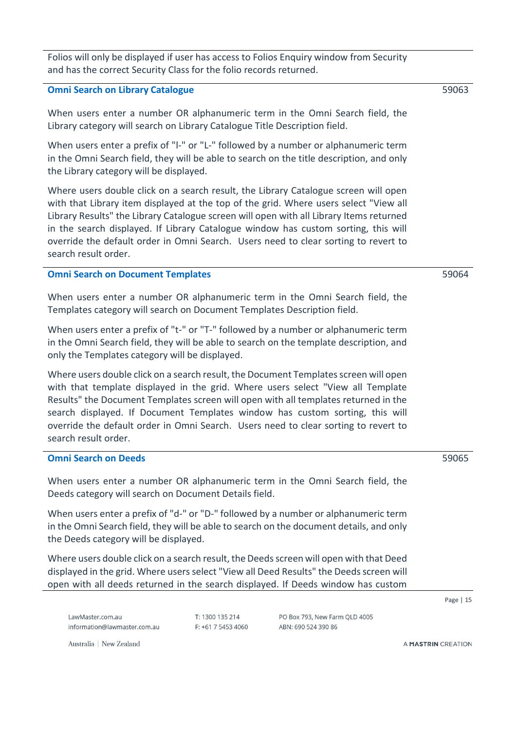Folios will only be displayed if user has access to Folios Enquiry window from Security and has the correct Security Class for the folio records returned.

#### <span id="page-14-0"></span>**Omni Search on Library Catalogue**

When users enter a number OR alphanumeric term in the Omni Search field, the Library category will search on Library Catalogue Title Description field.

When users enter a prefix of "l-" or "L-" followed by a number or alphanumeric term in the Omni Search field, they will be able to search on the title description, and only the Library category will be displayed.

Where users double click on a search result, the Library Catalogue screen will open with that Library item displayed at the top of the grid. Where users select "View all Library Results" the Library Catalogue screen will open with all Library Items returned in the search displayed. If Library Catalogue window has custom sorting, this will override the default order in Omni Search. Users need to clear sorting to revert to search result order.

#### <span id="page-14-1"></span>**Omni Search on Document Templates**

When users enter a number OR alphanumeric term in the Omni Search field, the Templates category will search on Document Templates Description field.

When users enter a prefix of "t-" or "T-" followed by a number or alphanumeric term in the Omni Search field, they will be able to search on the template description, and only the Templates category will be displayed.

Where users double click on a search result, the Document Templates screen will open with that template displayed in the grid. Where users select "View all Template Results" the Document Templates screen will open with all templates returned in the search displayed. If Document Templates window has custom sorting, this will override the default order in Omni Search. Users need to clear sorting to revert to search result order.

#### <span id="page-14-2"></span>**Omni Search on Deeds**

When users enter a number OR alphanumeric term in the Omni Search field, the Deeds category will search on Document Details field.

When users enter a prefix of "d-" or "D-" followed by a number or alphanumeric term in the Omni Search field, they will be able to search on the document details, and only the Deeds category will be displayed.

Where users double click on a search result, the Deeds screen will open with that Deed displayed in the grid. Where users select "View all Deed Results" the Deeds screen will open with all deeds returned in the search displayed. If Deeds window has custom

LawMaster com au information@lawmaster.com.au  $T: 1300135214$  $F: +61754534060$ 

PO Box 793, New Farm QLD 4005 ARN: 690 524 390 86

Australia | New Zealand

A MASTRIN CREATION

Page | 15

59065

59064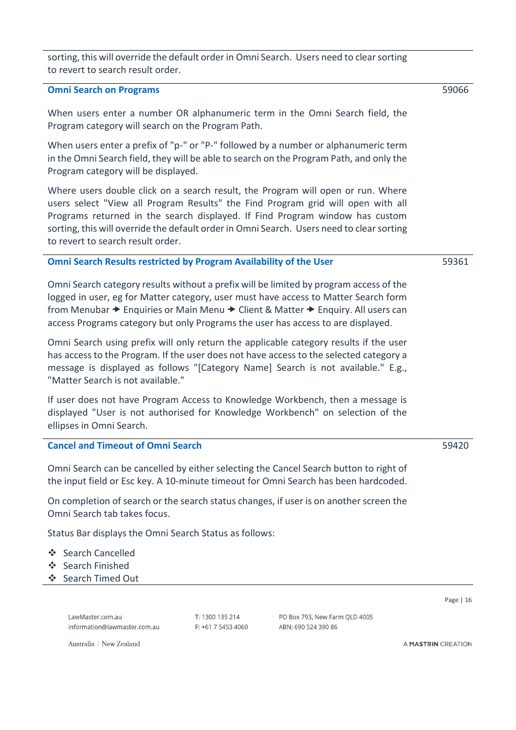sorting, this will override the default order in Omni Search. Users need to clear sorting to revert to search result order.

#### <span id="page-15-0"></span>**Omni Search on Programs**

When users enter a number OR alphanumeric term in the Omni Search field, the Program category will search on the Program Path.

When users enter a prefix of "p-" or "P-" followed by a number or alphanumeric term in the Omni Search field, they will be able to search on the Program Path, and only the Program category will be displayed.

Where users double click on a search result, the Program will open or run. Where users select "View all Program Results" the Find Program grid will open with all Programs returned in the search displayed. If Find Program window has custom sorting, this will override the default order in Omni Search. Users need to clear sorting to revert to search result order.

#### <span id="page-15-1"></span>**Omni Search Results restricted by Program Availability of the User**

Omni Search category results without a prefix will be limited by program access of the logged in user, eg for Matter category, user must have access to Matter Search form from Menubar  $\rightarrow$  Enquiries or Main Menu  $\rightarrow$  Client & Matter  $\rightarrow$  Enquiry. All users can access Programs category but only Programs the user has access to are displayed.

Omni Search using prefix will only return the applicable category results if the user has access to the Program. If the user does not have access to the selected category a message is displayed as follows "[Category Name] Search is not available." E.g., "Matter Search is not available."

If user does not have Program Access to Knowledge Workbench, then a message is displayed "User is not authorised for Knowledge Workbench" on selection of the ellipses in Omni Search.

#### <span id="page-15-2"></span>**Cancel and Timeout of Omni Search**

Omni Search can be cancelled by either selecting the Cancel Search button to right of the input field or Esc key. A 10-minute timeout for Omni Search has been hardcoded.

On completion of search or the search status changes, if user is on another screen the Omni Search tab takes focus.

Status Bar displays the Omni Search Status as follows:

- ❖ Search Cancelled
- ❖ Search Finished
- ❖ Search Timed Out

LawMaster com au information@lawmaster.com.au  $T: 1300135214$  $F: +61754534060$  PO Box 793, New Farm QLD 4005 ARN: 690 524 390 86

Page | 16

A MASTRIN CREATION

59361

59420

59066

Australia | New Zealand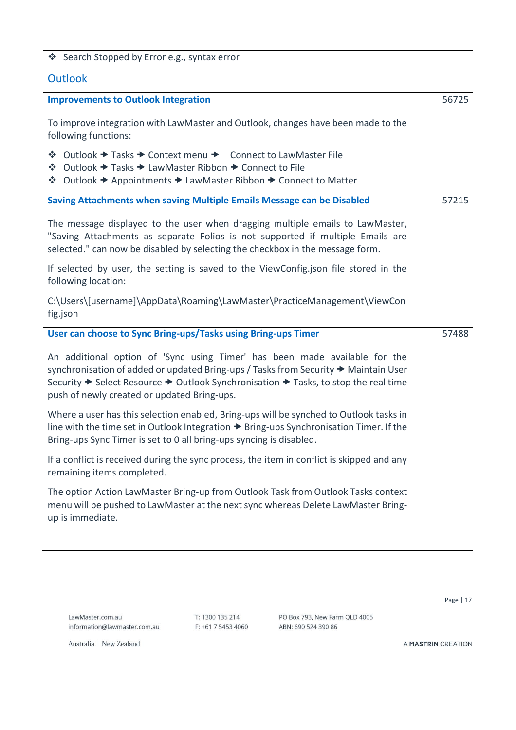#### ❖ Search Stopped by Error e.g., syntax error

#### <span id="page-16-0"></span>**Outlook**

#### <span id="page-16-1"></span>**Improvements to Outlook Integration**

To improve integration with LawMaster and Outlook, changes have been made to the following functions:

| ❖ Outlook → Tasks → Context menu → Connect to LawMaster File |  |
|--------------------------------------------------------------|--|
|--------------------------------------------------------------|--|

- ❖ Outlook → Tasks → LawMaster Ribbon → Connect to File
- ❖ Outlook Appointments LawMaster Ribbon Connect to Matter

<span id="page-16-2"></span>**Saving Attachments when saving Multiple Emails Message can be Disabled** 57215

The message displayed to the user when dragging multiple emails to LawMaster, "Saving Attachments as separate Folios is not supported if multiple Emails are selected." can now be disabled by selecting the checkbox in the message form.

If selected by user, the setting is saved to the ViewConfig.json file stored in the following location:

C:\Users\[username]\AppData\Roaming\LawMaster\PracticeManagement\ViewCon fig.json

#### <span id="page-16-3"></span>**User can choose to Sync Bring-ups/Tasks using Bring-ups Timer**

An additional option of 'Sync using Timer' has been made available for the synchronisation of added or updated Bring-ups / Tasks from Security  $\rightarrow$  Maintain User Security  $\rightarrow$  Select Resource  $\rightarrow$  Outlook Synchronisation  $\rightarrow$  Tasks, to stop the real time push of newly created or updated Bring-ups.

Where a user has this selection enabled, Bring-ups will be synched to Outlook tasks in line with the time set in Outlook Integration  $\rightarrow$  Bring-ups Synchronisation Timer. If the Bring-ups Sync Timer is set to 0 all bring-ups syncing is disabled.

If a conflict is received during the sync process, the item in conflict is skipped and any remaining items completed.

The option Action LawMaster Bring-up from Outlook Task from Outlook Tasks context menu will be pushed to LawMaster at the next sync whereas Delete LawMaster Bringup is immediate.

LawMaster com au information@lawmaster.com.au  $T: 1300135214$  $F$ : +61 7 5453 4060

PO Box 793 New Farm OLD 4005 ARN: 690 524 390 86

Page | 17

56725

57488

Australia | New Zealand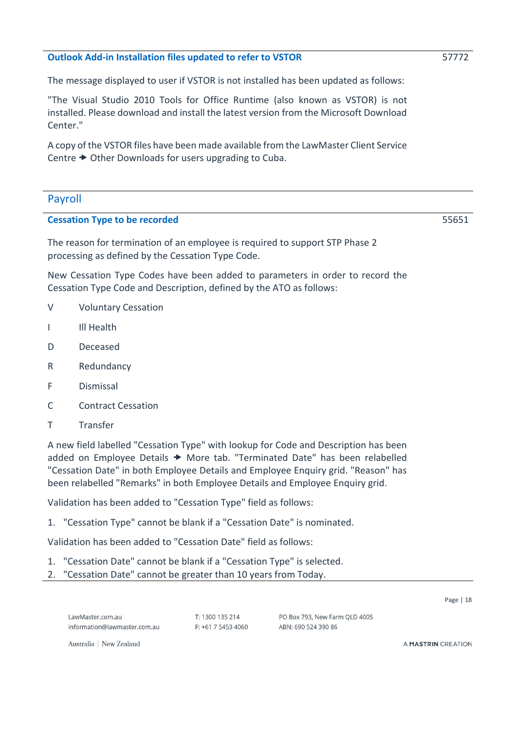#### <span id="page-17-0"></span>**Outlook Add-in Installation files updated to refer to VSTOR**

The message displayed to user if VSTOR is not installed has been updated as follows:

"The Visual Studio 2010 Tools for Office Runtime (also known as VSTOR) is not installed. Please download and install the latest version from the Microsoft Download Center."

A copy of the VSTOR files have been made available from the LawMaster Client Service Centre  $\rightarrow$  Other Downloads for users upgrading to Cuba.

#### <span id="page-17-1"></span>Payroll

#### <span id="page-17-2"></span>**Cessation Type to be recorded**

The reason for termination of an employee is required to support STP Phase 2 processing as defined by the Cessation Type Code.

New Cessation Type Codes have been added to parameters in order to record the Cessation Type Code and Description, defined by the ATO as follows:

- V Voluntary Cessation
- I III Health
- D Deceased
- R Redundancy
- F Dismissal
- C Contract Cessation
- T Transfer

A new field labelled "Cessation Type" with lookup for Code and Description has been added on Employee Details  $\rightarrow$  More tab. "Terminated Date" has been relabelled "Cessation Date" in both Employee Details and Employee Enquiry grid. "Reason" has been relabelled "Remarks" in both Employee Details and Employee Enquiry grid.

Validation has been added to "Cessation Type" field as follows:

1. "Cessation Type" cannot be blank if a "Cessation Date" is nominated.

Validation has been added to "Cessation Date" field as follows:

- 1. "Cessation Date" cannot be blank if a "Cessation Type" is selected.
- 2. "Cessation Date" cannot be greater than 10 years from Today.

LawMaster com au information@lawmaster.com.au  $T: 1300135214$  $F: +61754534060$  PO Box 793, New Farm OLD 4005 ARN: 690 524 390 86

A MASTRIN CREATION

Page | 18

Australia | New Zealand

55651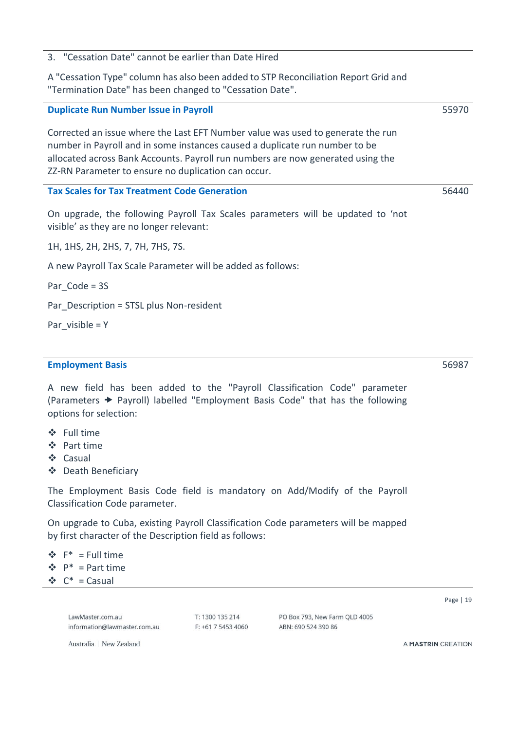3. "Cessation Date" cannot be earlier than Date Hired

A "Cessation Type" column has also been added to STP Reconciliation Report Grid and "Termination Date" has been changed to "Cessation Date".

# <span id="page-18-0"></span>**Duplicate Run Number Issue in Payroll**

Corrected an issue where the Last EFT Number value was used to generate the run number in Payroll and in some instances caused a duplicate run number to be allocated across Bank Accounts. Payroll run numbers are now generated using the ZZ-RN Parameter to ensure no duplication can occur.

#### <span id="page-18-1"></span>**Tax Scales for Tax Treatment Code Generation**

On upgrade, the following Payroll Tax Scales parameters will be updated to 'not visible' as they are no longer relevant:

1H, 1HS, 2H, 2HS, 7, 7H, 7HS, 7S.

A new Payroll Tax Scale Parameter will be added as follows:

Par Code = 3S

Par\_Description = STSL plus Non-resident

Par visible  $=$  Y

#### <span id="page-18-2"></span>**Employment Basis**

A new field has been added to the "Payroll Classification Code" parameter (Parameters Payroll) labelled "Employment Basis Code" that has the following options for selection:

- ❖ Full time
- ❖ Part time
- ❖ Casual
- ❖ Death Beneficiary

The Employment Basis Code field is mandatory on Add/Modify of the Payroll Classification Code parameter.

On upgrade to Cuba, existing Payroll Classification Code parameters will be mapped by first character of the Description field as follows:

 $\hat{\mathbf{v}}$  F<sup>\*</sup> = Full time  $\mathbf{\hat{P}}^*$  = Part time  $\mathbf{\hat{P}}$  C<sup>\*</sup> = Casual

> LawMaster com au information@lawmaster.com.au

 $T: 1300135214$  $F: +61754534060$  PO Box 793, New Farm QLD 4005 ARN: 690 524 390 86

A MASTRIN CREATION

Page | 19

Australia | New Zealand

56987

56440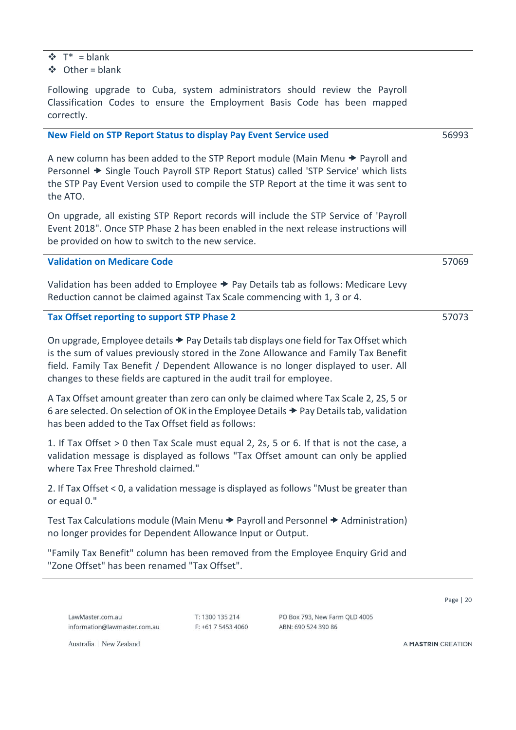- $\mathbf{\Phi}$  T<sup>\*</sup> = blank
- ❖ Other = blank

Following upgrade to Cuba, system administrators should review the Payroll Classification Codes to ensure the Employment Basis Code has been mapped correctly.

#### <span id="page-19-0"></span>**New Field on STP Report Status to display Pay Event Service used**

A new column has been added to the STP Report module (Main Menu  $\rightarrow$  Payroll and Personnel  $\blacktriangleright$  Single Touch Payroll STP Report Status) called 'STP Service' which lists the STP Pay Event Version used to compile the STP Report at the time it was sent to the ATO.

On upgrade, all existing STP Report records will include the STP Service of 'Payroll Event 2018". Once STP Phase 2 has been enabled in the next release instructions will be provided on how to switch to the new service.

#### <span id="page-19-1"></span>**Validation on Medicare Code**

Validation has been added to Employee  $\rightarrow$  Pay Details tab as follows: Medicare Levy Reduction cannot be claimed against Tax Scale commencing with 1, 3 or 4.

#### <span id="page-19-2"></span>**Tax Offset reporting to support STP Phase 2**

On upgrade, Employee details  $\rightarrow$  Pay Details tab displays one field for Tax Offset which is the sum of values previously stored in the Zone Allowance and Family Tax Benefit field. Family Tax Benefit / Dependent Allowance is no longer displayed to user. All changes to these fields are captured in the audit trail for employee.

A Tax Offset amount greater than zero can only be claimed where Tax Scale 2, 2S, 5 or 6 are selected. On selection of OK in the Employee Details Pay Details tab, validation has been added to the Tax Offset field as follows:

1. If Tax Offset > 0 then Tax Scale must equal 2, 2s, 5 or 6. If that is not the case, a validation message is displayed as follows "Tax Offset amount can only be applied where Tax Free Threshold claimed."

2. If Tax Offset < 0, a validation message is displayed as follows "Must be greater than or equal 0."

Test Tax Calculations module (Main Menu  $\rightarrow$  Payroll and Personnel  $\rightarrow$  Administration) no longer provides for Dependent Allowance Input or Output.

"Family Tax Benefit" column has been removed from the Employee Enquiry Grid and "Zone Offset" has been renamed "Tax Offset".

LawMaster com au information@lawmaster.com.au  $T: 1300135214$  $F: +61754534060$  PO Box 793, New Farm QLD 4005 ARN: 690 524 390 86

Page | 20

56993

57069

57073

Australia | New Zealand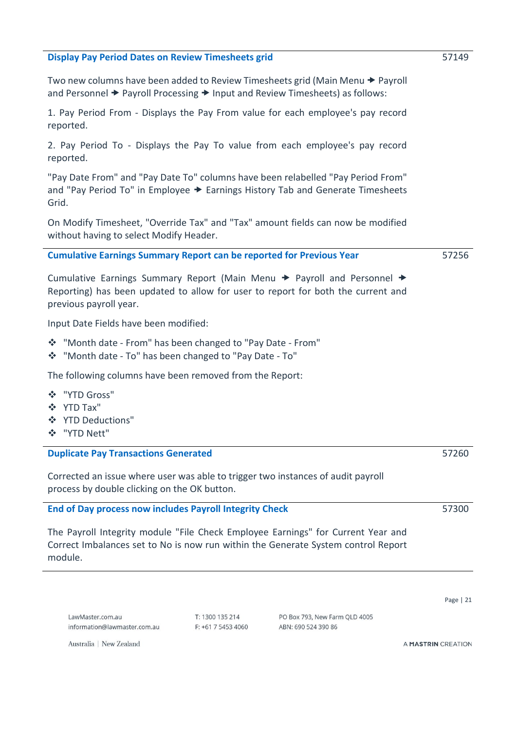#### <span id="page-20-0"></span>**Display Pay Period Dates on Review Timesheets grid**

Two new columns have been added to Review Timesheets grid (Main Menu → Payroll and Personnel  $\rightarrow$  Payroll Processing  $\rightarrow$  Input and Review Timesheets) as follows:

1. Pay Period From - Displays the Pay From value for each employee's pay record reported.

2. Pay Period To - Displays the Pay To value from each employee's pay record reported.

"Pay Date From" and "Pay Date To" columns have been relabelled "Pay Period From" and "Pay Period To" in Employee  $\rightarrow$  Earnings History Tab and Generate Timesheets Grid.

On Modify Timesheet, "Override Tax" and "Tax" amount fields can now be modified without having to select Modify Header.

#### <span id="page-20-1"></span>**Cumulative Earnings Summary Report can be reported for Previous Year**

Cumulative Earnings Summary Report (Main Menu  $\rightarrow$  Payroll and Personnel  $\rightarrow$ Reporting) has been updated to allow for user to report for both the current and previous payroll year.

Input Date Fields have been modified:

- ❖ "Month date From" has been changed to "Pay Date From"
- ❖ "Month date To" has been changed to "Pay Date To"

The following columns have been removed from the Report:

- ❖ "YTD Gross"
- ❖ YTD Tax"
- ❖ YTD Deductions"
- ❖ "YTD Nett"

#### <span id="page-20-2"></span>**Duplicate Pay Transactions Generated**

Corrected an issue where user was able to trigger two instances of audit payroll process by double clicking on the OK button.

#### <span id="page-20-3"></span>**End of Day process now includes Payroll Integrity Check**

The Payroll Integrity module "File Check Employee Earnings" for Current Year and Correct Imbalances set to No is now run within the Generate System control Report module.

LawMaster com au information@lawmaster.com.au  $T: 1300135214$  $F: +61754534060$  PO Box 793 New Farm OLD 4005 ARN: 690 524 390 86

A MASTRIN CREATION

Australia | New Zealand

57256



Page | 21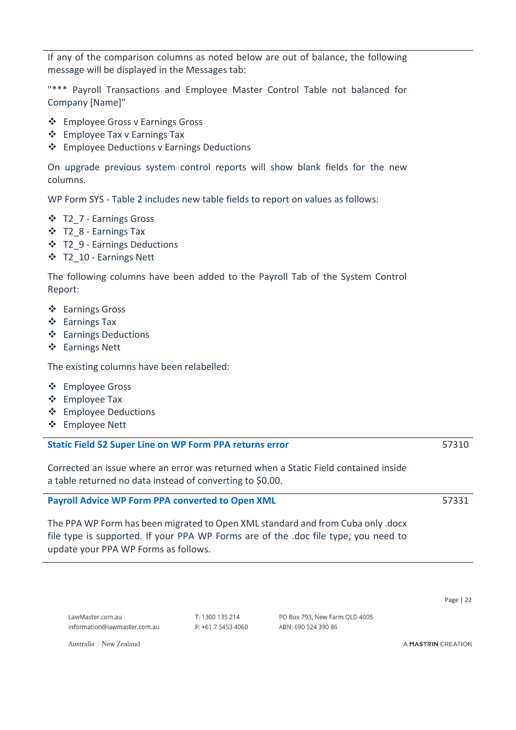If any of the comparison columns as noted below are out of balance, the following message will be displayed in the Messages tab:

"\*\*\* Payroll Transactions and Employee Master Control Table not balanced for Company [Name]"

- ❖ Employee Gross v Earnings Gross
- ❖ Employee Tax v Earnings Tax
- ❖ Employee Deductions v Earnings Deductions

On upgrade previous system control reports will show blank fields for the new columns.

WP Form SYS - Table 2 includes new table fields to report on values as follows:

- ❖ T2\_7 Earnings Gross
- ❖ T2\_8 Earnings Tax
- ❖ T2\_9 Earnings Deductions
- ❖ T2\_10 Earnings Nett

The following columns have been added to the Payroll Tab of the System Control Report:

- ❖ Earnings Gross
- ❖ Earnings Tax
- ❖ Earnings Deductions
- ❖ Earnings Nett

The existing columns have been relabelled:

- ❖ Employee Gross
- ❖ Employee Tax
- ❖ Employee Deductions
- ❖ Employee Nett

#### <span id="page-21-0"></span>**Static Field 52 Super Line on WP Form PPA returns error**

Corrected an issue where an error was returned when a Static Field contained inside a table returned no data instead of converting to \$0.00.

#### <span id="page-21-1"></span>**Payroll Advice WP Form PPA converted to Open XML**

The PPA WP Form has been migrated to Open XML standard and from Cuba only .docx file type is supported. If your PPA WP Forms are of the .doc file type, you need to update your PPA WP Forms as follows.

 $T: 1300135214$ F: +61 7 5453 4060 PO Box 793, New Farm QLD 4005 ARN: 690 524 390 86

A MASTRIN CREATION

Australia | New Zealand

# 57331

Page | 22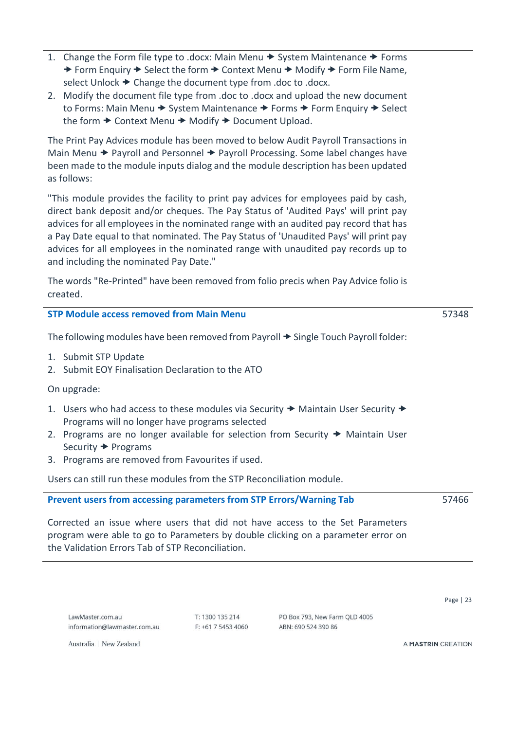- 1. Change the Form file type to .docx: Main Menu  $\rightarrow$  System Maintenance  $\rightarrow$  Forms  $\rightarrow$  Form Enquiry  $\rightarrow$  Select the form  $\rightarrow$  Context Menu  $\rightarrow$  Modify  $\rightarrow$  Form File Name, select Unlock  $\rightarrow$  Change the document type from .doc to .docx.
- 2. Modify the document file type from .doc to .docx and upload the new document to Forms: Main Menu → System Maintenance → Forms → Form Enquiry → Select the form  $\rightarrow$  Context Menu  $\rightarrow$  Modify  $\rightarrow$  Document Upload.

The Print Pay Advices module has been moved to below Audit Payroll Transactions in Main Menu  $\rightarrow$  Payroll and Personnel  $\rightarrow$  Payroll Processing. Some label changes have been made to the module inputs dialog and the module description has been updated as follows:

"This module provides the facility to print pay advices for employees paid by cash, direct bank deposit and/or cheques. The Pay Status of 'Audited Pays' will print pay advices for all employees in the nominated range with an audited pay record that has a Pay Date equal to that nominated. The Pay Status of 'Unaudited Pays' will print pay advices for all employees in the nominated range with unaudited pay records up to and including the nominated Pay Date."

The words "Re-Printed" have been removed from folio precis when Pay Advice folio is created.

<span id="page-22-0"></span>

| <b>STP Module access removed from Main Menu</b>                                                                                                                                                                                                                                                                                                  | 57348 |
|--------------------------------------------------------------------------------------------------------------------------------------------------------------------------------------------------------------------------------------------------------------------------------------------------------------------------------------------------|-------|
| The following modules have been removed from Payroll → Single Touch Payroll folder:                                                                                                                                                                                                                                                              |       |
| 1. Submit STP Update<br>2. Submit EOY Finalisation Declaration to the ATO                                                                                                                                                                                                                                                                        |       |
| On upgrade:                                                                                                                                                                                                                                                                                                                                      |       |
| 1. Users who had access to these modules via Security $\rightarrow$ Maintain User Security $\rightarrow$<br>Programs will no longer have programs selected<br>2. Programs are no longer available for selection from Security $\rightarrow$ Maintain User<br>Security $\rightarrow$ Programs<br>3. Programs are removed from Favourites if used. |       |
| Users can still run these modules from the STP Reconciliation module.                                                                                                                                                                                                                                                                            |       |
| Prevent users from accessing parameters from STP Errors/Warning Tab                                                                                                                                                                                                                                                                              | 57466 |
| Corrected an issue where users that did not have access to the Set Parameters                                                                                                                                                                                                                                                                    |       |

<span id="page-22-2"></span><span id="page-22-1"></span>Corrected an issue where users that did not have access to the Set Parameters program were able to go to Parameters by double clicking on a parameter error on the Validation Errors Tab of STP Reconciliation.

 $T: 1300135214$  $F: +61754534060$  PO Box 793 New Farm OLD 4005 ARN: 690 524 390 86

A MASTRIN CREATION

Page | 23

Australia | New Zealand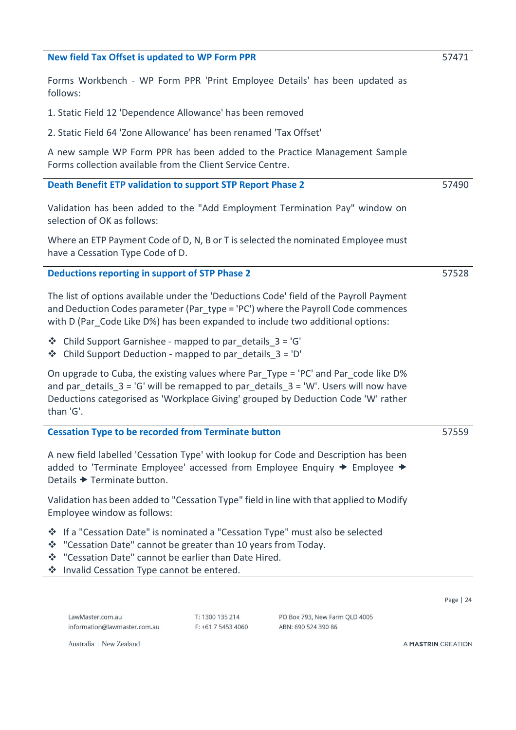#### <span id="page-23-0"></span>**New field Tax Offset is updated to WP Form PPR**

Forms Workbench - WP Form PPR 'Print Employee Details' has been updated as follows:

- 1. Static Field 12 'Dependence Allowance' has been removed
- 2. Static Field 64 'Zone Allowance' has been renamed 'Tax Offset'

A new sample WP Form PPR has been added to the Practice Management Sample Forms collection available from the Client Service Centre.

#### <span id="page-23-1"></span>**Death Benefit ETP validation to support STP Report Phase 2**

Validation has been added to the "Add Employment Termination Pay" window on selection of OK as follows:

Where an ETP Payment Code of D, N, B or T is selected the nominated Employee must have a Cessation Type Code of D.

#### <span id="page-23-2"></span>**Deductions reporting in support of STP Phase 2**

The list of options available under the 'Deductions Code' field of the Payroll Payment and Deduction Codes parameter (Par\_type = 'PC') where the Payroll Code commences with D (Par Code Like D%) has been expanded to include two additional options:

- $\triangleleft$  Child Support Garnishee mapped to par details  $3 = 'G'$
- ❖ Child Support Deduction mapped to par\_details\_3 = 'D'

On upgrade to Cuba, the existing values where Par\_Type = 'PC' and Par\_code like D% and par details  $3 = 'G'$  will be remapped to par details  $3 = 'W'$ . Users will now have Deductions categorised as 'Workplace Giving' grouped by Deduction Code 'W' rather than 'G'.

#### <span id="page-23-3"></span>**Cessation Type to be recorded from Terminate button**

A new field labelled 'Cessation Type' with lookup for Code and Description has been added to 'Terminate Employee' accessed from Employee Enquiry  $\rightarrow$  Employee  $\rightarrow$ Details  $\rightarrow$  Terminate button.

Validation has been added to "Cessation Type" field in line with that applied to Modify Employee window as follows:

- ❖ If a "Cessation Date" is nominated a "Cessation Type" must also be selected
- ❖ "Cessation Date" cannot be greater than 10 years from Today.
- ❖ "Cessation Date" cannot be earlier than Date Hired.
- ❖ Invalid Cessation Type cannot be entered.

LawMaster com au information@lawmaster.com.au  $T: 1300135214$  $F: +61754534060$  PO Box 793, New Farm QLD 4005 ARN: 690 524 390 86

Australia | New Zealand

A MASTRIN CREATION

Page | 24

57559

57490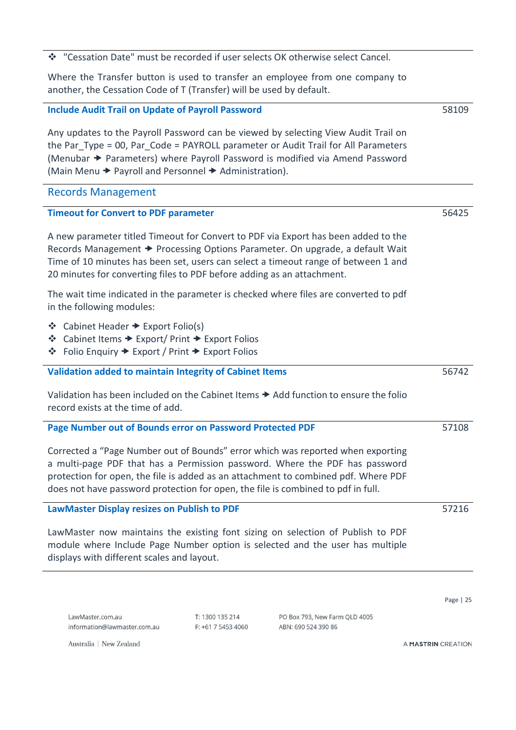❖ "Cessation Date" must be recorded if user selects OK otherwise select Cancel.

Where the Transfer button is used to transfer an employee from one company to another, the Cessation Code of T (Transfer) will be used by default.

<span id="page-24-0"></span>**Include Audit Trail on Update of Payroll Password**

Any updates to the Payroll Password can be viewed by selecting View Audit Trail on the Par Type = 00, Par Code = PAYROLL parameter or Audit Trail for All Parameters (Menubar → Parameters) where Payroll Password is modified via Amend Password (Main Menu  $\rightarrow$  Payroll and Personnel  $\rightarrow$  Administration).

#### <span id="page-24-1"></span>Records Management

#### <span id="page-24-2"></span>**Timeout for Convert to PDF parameter**

A new parameter titled Timeout for Convert to PDF via Export has been added to the Records Management  $\rightarrow$  Processing Options Parameter. On upgrade, a default Wait Time of 10 minutes has been set, users can select a timeout range of between 1 and 20 minutes for converting files to PDF before adding as an attachment.

The wait time indicated in the parameter is checked where files are converted to pdf in the following modules:

- ❖ Cabinet Header Export Folio(s)
- ❖ Cabinet Items Export/ Print Export Folios
- ❖ Folio Enquiry Export / Print Export Folios

#### <span id="page-24-3"></span>**Validation added to maintain Integrity of Cabinet Items**

Validation has been included on the Cabinet Items  $\rightarrow$  Add function to ensure the folio record exists at the time of add.

#### <span id="page-24-4"></span>**Page Number out of Bounds error on Password Protected PDF**

Corrected a "Page Number out of Bounds" error which was reported when exporting a multi-page PDF that has a Permission password. Where the PDF has password protection for open, the file is added as an attachment to combined pdf. Where PDF does not have password protection for open, the file is combined to pdf in full.

#### <span id="page-24-5"></span>**LawMaster Display resizes on Publish to PDF**

LawMaster now maintains the existing font sizing on selection of Publish to PDF module where Include Page Number option is selected and the user has multiple displays with different scales and layout.

LawMaster com au information@lawmaster.com.au  $T: 1300135214$  $F: +61754534060$ 

PO Box 793, New Farm QLD 4005 ARN: 690 524 390 86

A MASTRIN CREATION

Australia | New Zealand

57216

Page | 25

56742

58109

56425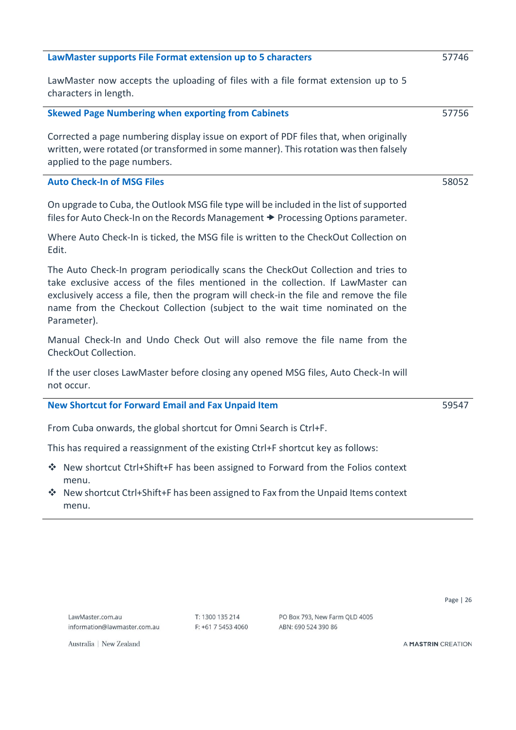<span id="page-25-2"></span><span id="page-25-1"></span><span id="page-25-0"></span>

| LawMaster supports File Format extension up to 5 characters                                                                                                                                                                                                                                                                                                    | 57746 |
|----------------------------------------------------------------------------------------------------------------------------------------------------------------------------------------------------------------------------------------------------------------------------------------------------------------------------------------------------------------|-------|
| LawMaster now accepts the uploading of files with a file format extension up to 5<br>characters in length.                                                                                                                                                                                                                                                     |       |
| <b>Skewed Page Numbering when exporting from Cabinets</b>                                                                                                                                                                                                                                                                                                      | 57756 |
| Corrected a page numbering display issue on export of PDF files that, when originally<br>written, were rotated (or transformed in some manner). This rotation was then falsely<br>applied to the page numbers.                                                                                                                                                 |       |
| <b>Auto Check-In of MSG Files</b>                                                                                                                                                                                                                                                                                                                              | 58052 |
| On upgrade to Cuba, the Outlook MSG file type will be included in the list of supported<br>files for Auto Check-In on the Records Management > Processing Options parameter.                                                                                                                                                                                   |       |
| Where Auto Check-In is ticked, the MSG file is written to the CheckOut Collection on<br>Edit.                                                                                                                                                                                                                                                                  |       |
| The Auto Check-In program periodically scans the CheckOut Collection and tries to<br>take exclusive access of the files mentioned in the collection. If LawMaster can<br>exclusively access a file, then the program will check-in the file and remove the file<br>name from the Checkout Collection (subject to the wait time nominated on the<br>Parameter). |       |
| Manual Check-In and Undo Check Out will also remove the file name from the<br>CheckOut Collection.                                                                                                                                                                                                                                                             |       |
| If the user closes LawMaster before closing any opened MSG files, Auto Check-In will<br>not occur.                                                                                                                                                                                                                                                             |       |
| <b>New Shortcut for Forward Email and Fax Unpaid Item</b>                                                                                                                                                                                                                                                                                                      | 59547 |
| From Cuba onwards, the global shortcut for Omni Search is Ctrl+F.                                                                                                                                                                                                                                                                                              |       |
| This has required a reassignment of the existing Ctrl+F shortcut key as follows:                                                                                                                                                                                                                                                                               |       |
| ❖ New shortcut Ctrl+Shift+F has been assigned to Forward from the Folios context<br>menu.                                                                                                                                                                                                                                                                      |       |
| ❖ New shortcut Ctrl+Shift+F has been assigned to Fax from the Unpaid Items context                                                                                                                                                                                                                                                                             |       |

T: 1300 135 214 F: +61 7 5453 4060 PO Box 793, New Farm QLD 4005 ABN: 690 524 390 86

Page | 26

Australia | New Zealand

<span id="page-25-3"></span>menu.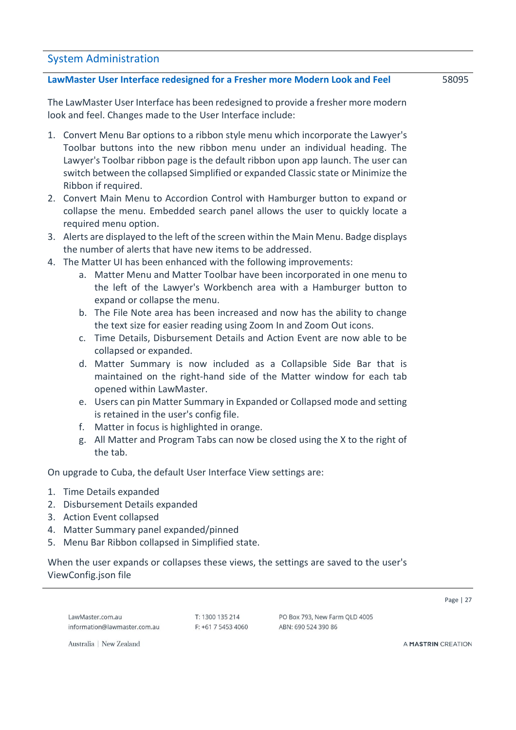#### <span id="page-26-0"></span>System Administration

#### <span id="page-26-1"></span>**LawMaster User Interface redesigned for a Fresher more Modern Look and Feel**

The LawMaster User Interface has been redesigned to provide a fresher more modern look and feel. Changes made to the User Interface include:

- 1. Convert Menu Bar options to a ribbon style menu which incorporate the Lawyer's Toolbar buttons into the new ribbon menu under an individual heading. The Lawyer's Toolbar ribbon page is the default ribbon upon app launch. The user can switch between the collapsed Simplified or expanded Classic state or Minimize the Ribbon if required.
- 2. Convert Main Menu to Accordion Control with Hamburger button to expand or collapse the menu. Embedded search panel allows the user to quickly locate a required menu option.
- 3. Alerts are displayed to the left of the screen within the Main Menu. Badge displays the number of alerts that have new items to be addressed.
- 4. The Matter UI has been enhanced with the following improvements:
	- a. Matter Menu and Matter Toolbar have been incorporated in one menu to the left of the Lawyer's Workbench area with a Hamburger button to expand or collapse the menu.
	- b. The File Note area has been increased and now has the ability to change the text size for easier reading using Zoom In and Zoom Out icons.
	- c. Time Details, Disbursement Details and Action Event are now able to be collapsed or expanded.
	- d. Matter Summary is now included as a Collapsible Side Bar that is maintained on the right-hand side of the Matter window for each tab opened within LawMaster.
	- e. Users can pin Matter Summary in Expanded or Collapsed mode and setting is retained in the user's config file.
	- f. Matter in focus is highlighted in orange.
	- g. All Matter and Program Tabs can now be closed using the X to the right of the tab.

On upgrade to Cuba, the default User Interface View settings are:

- 1. Time Details expanded
- 2. Disbursement Details expanded
- 3. Action Event collapsed
- 4. Matter Summary panel expanded/pinned
- 5. Menu Bar Ribbon collapsed in Simplified state.

When the user expands or collapses these views, the settings are saved to the user's ViewConfig.json file

LawMaster com au information@lawmaster.com.au  $T: 1300135214$  $F: +61754534060$  PO Box 793, New Farm QLD 4005 ARN: 690 524 390 86

Page | 27

Australia | New Zealand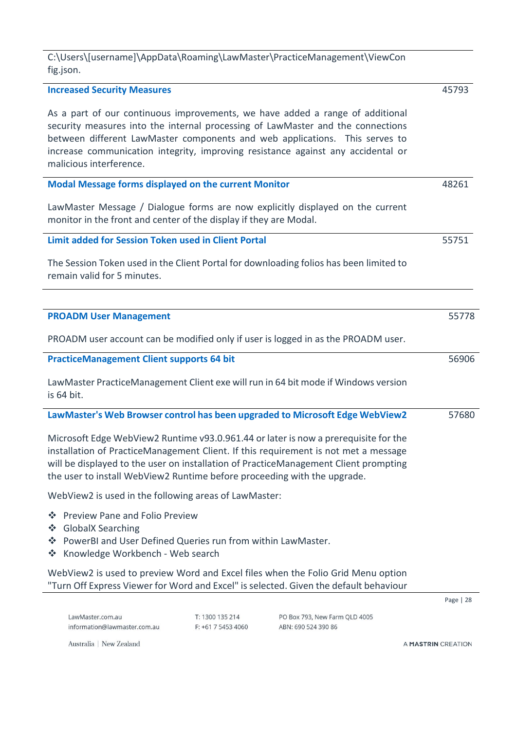C:\Users\[username]\AppData\Roaming\LawMaster\PracticeManagement\ViewCon fig.json.

<span id="page-27-3"></span><span id="page-27-2"></span><span id="page-27-1"></span><span id="page-27-0"></span>

| <b>Increased Security Measures</b>                                                                                                                                                    |                 |                                                                                                                                                                                                                                                                                                                                     | 45793     |
|---------------------------------------------------------------------------------------------------------------------------------------------------------------------------------------|-----------------|-------------------------------------------------------------------------------------------------------------------------------------------------------------------------------------------------------------------------------------------------------------------------------------------------------------------------------------|-----------|
| malicious interference.                                                                                                                                                               |                 | As a part of our continuous improvements, we have added a range of additional<br>security measures into the internal processing of LawMaster and the connections<br>between different LawMaster components and web applications. This serves to<br>increase communication integrity, improving resistance against any accidental or |           |
| Modal Message forms displayed on the current Monitor                                                                                                                                  |                 |                                                                                                                                                                                                                                                                                                                                     | 48261     |
| monitor in the front and center of the display if they are Modal.                                                                                                                     |                 | LawMaster Message / Dialogue forms are now explicitly displayed on the current                                                                                                                                                                                                                                                      |           |
| Limit added for Session Token used in Client Portal                                                                                                                                   |                 |                                                                                                                                                                                                                                                                                                                                     | 55751     |
| remain valid for 5 minutes.                                                                                                                                                           |                 | The Session Token used in the Client Portal for downloading folios has been limited to                                                                                                                                                                                                                                              |           |
|                                                                                                                                                                                       |                 |                                                                                                                                                                                                                                                                                                                                     |           |
| <b>PROADM User Management</b>                                                                                                                                                         |                 |                                                                                                                                                                                                                                                                                                                                     | 55778     |
|                                                                                                                                                                                       |                 | PROADM user account can be modified only if user is logged in as the PROADM user.                                                                                                                                                                                                                                                   |           |
| <b>PracticeManagement Client supports 64 bit</b>                                                                                                                                      |                 |                                                                                                                                                                                                                                                                                                                                     | 56906     |
| is 64 bit.                                                                                                                                                                            |                 | LawMaster PracticeManagement Client exe will run in 64 bit mode if Windows version                                                                                                                                                                                                                                                  |           |
|                                                                                                                                                                                       |                 | LawMaster's Web Browser control has been upgraded to Microsoft Edge WebView2                                                                                                                                                                                                                                                        | 57680     |
| the user to install WebView2 Runtime before proceeding with the upgrade.                                                                                                              |                 | Microsoft Edge WebView2 Runtime v93.0.961.44 or later is now a prerequisite for the<br>installation of PracticeManagement Client. If this requirement is not met a message<br>will be displayed to the user on installation of PracticeManagement Client prompting                                                                  |           |
| WebView2 is used in the following areas of LawMaster:                                                                                                                                 |                 |                                                                                                                                                                                                                                                                                                                                     |           |
| <b>Preview Pane and Folio Preview</b><br>察<br><b>GlobalX Searching</b><br>豪<br>❖ PowerBI and User Defined Queries run from within LawMaster.<br>Knowledge Workbench - Web search<br>豪 |                 |                                                                                                                                                                                                                                                                                                                                     |           |
|                                                                                                                                                                                       |                 | WebView2 is used to preview Word and Excel files when the Folio Grid Menu option<br>"Turn Off Express Viewer for Word and Excel" is selected. Given the default behaviour                                                                                                                                                           |           |
|                                                                                                                                                                                       |                 |                                                                                                                                                                                                                                                                                                                                     | Page   28 |
| LawMaster.com.au                                                                                                                                                                      | T: 1300 135 214 | PO Box 793, New Farm QLD 4005                                                                                                                                                                                                                                                                                                       |           |

F: +61 7 5453 4060

ABN: 690 524 390 86

Australia | New Zealand

<span id="page-27-5"></span><span id="page-27-4"></span>information@lawmaster.com.au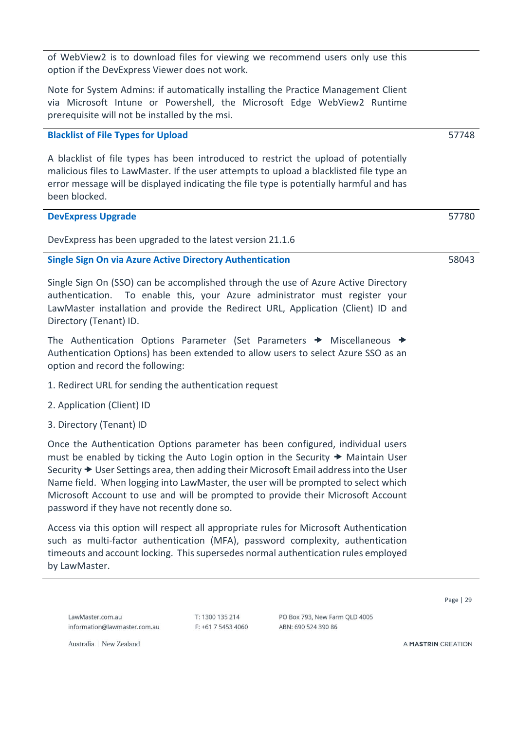of WebView2 is to download files for viewing we recommend users only use this option if the DevExpress Viewer does not work.

Note for System Admins: if automatically installing the Practice Management Client via Microsoft Intune or Powershell, the Microsoft Edge WebView2 Runtime prerequisite will not be installed by the msi.

#### <span id="page-28-0"></span>**Blacklist of File Types for Upload**

A blacklist of file types has been introduced to restrict the upload of potentially malicious files to LawMaster. If the user attempts to upload a blacklisted file type an error message will be displayed indicating the file type is potentially harmful and has been blocked.

#### <span id="page-28-1"></span>**DevExpress Upgrade**

DevExpress has been upgraded to the latest version 21.1.6

#### <span id="page-28-2"></span>**Single Sign On via Azure Active Directory Authentication**

Single Sign On (SSO) can be accomplished through the use of Azure Active Directory authentication. To enable this, your Azure administrator must register your LawMaster installation and provide the Redirect URL, Application (Client) ID and Directory (Tenant) ID.

The Authentication Options Parameter (Set Parameters  $\rightarrow$  Miscellaneous  $\rightarrow$ Authentication Options) has been extended to allow users to select Azure SSO as an option and record the following:

- 1. Redirect URL for sending the authentication request
- 2. Application (Client) ID
- 3. Directory (Tenant) ID

Once the Authentication Options parameter has been configured, individual users must be enabled by ticking the Auto Login option in the Security  $\rightarrow$  Maintain User Security  $\rightarrow$  User Settings area, then adding their Microsoft Email address into the User Name field. When logging into LawMaster, the user will be prompted to select which Microsoft Account to use and will be prompted to provide their Microsoft Account password if they have not recently done so.

Access via this option will respect all appropriate rules for Microsoft Authentication such as multi-factor authentication (MFA), password complexity, authentication timeouts and account locking. This supersedes normal authentication rules employed by LawMaster.

LawMaster com au information@lawmaster.com.au  $T: 1300135214$ F: +61 7 5453 4060 PO Box 793, New Farm QLD 4005 ARN: 690 524 390 86

Page | 29

Australia | New Zealand

A MASTRIN CREATION

58043

57748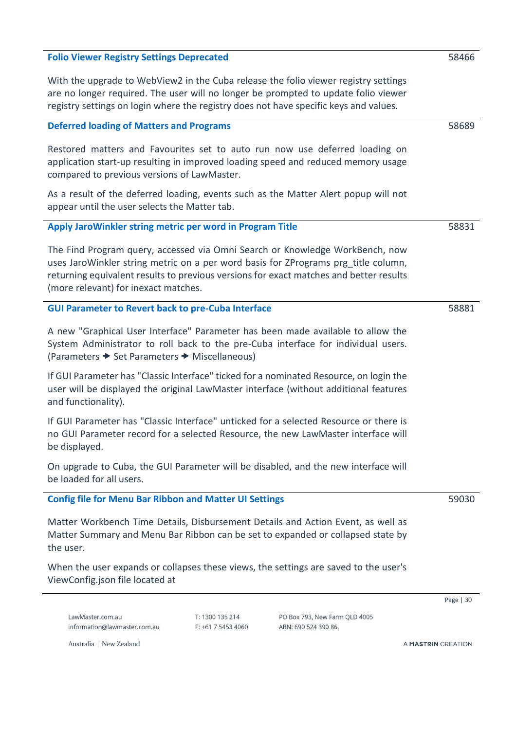# <span id="page-29-0"></span>**Folio Viewer Registry Settings Deprecated** With the upgrade to WebView2 in the Cuba release the folio viewer registry settings are no longer required. The user will no longer be prompted to update folio viewer registry settings on login where the registry does not have specific keys and values. **Deferred loading of Matters and Programs**

<span id="page-29-1"></span>Restored matters and Favourites set to auto run now use deferred loading on application start-up resulting in improved loading speed and reduced memory usage compared to previous versions of LawMaster.

As a result of the deferred loading, events such as the Matter Alert popup will not appear until the user selects the Matter tab.

#### <span id="page-29-2"></span>**Apply JaroWinkler string metric per word in Program Title**

The Find Program query, accessed via Omni Search or Knowledge WorkBench, now uses JaroWinkler string metric on a per word basis for ZPrograms prg\_title column, returning equivalent results to previous versions for exact matches and better results (more relevant) for inexact matches.

#### <span id="page-29-3"></span>**GUI Parameter to Revert back to pre-Cuba Interface**

A new "Graphical User Interface" Parameter has been made available to allow the System Administrator to roll back to the pre-Cuba interface for individual users. (Parameters  $\rightarrow$  Set Parameters  $\rightarrow$  Miscellaneous)

If GUI Parameter has "Classic Interface" ticked for a nominated Resource, on login the user will be displayed the original LawMaster interface (without additional features and functionality).

If GUI Parameter has "Classic Interface" unticked for a selected Resource or there is no GUI Parameter record for a selected Resource, the new LawMaster interface will be displayed.

On upgrade to Cuba, the GUI Parameter will be disabled, and the new interface will be loaded for all users.

#### <span id="page-29-4"></span>**Config file for Menu Bar Ribbon and Matter UI Settings**

Matter Workbench Time Details, Disbursement Details and Action Event, as well as Matter Summary and Menu Bar Ribbon can be set to expanded or collapsed state by the user.

When the user expands or collapses these views, the settings are saved to the user's ViewConfig.json file located at

LawMaster com au information@lawmaster.com.au  $T: 1300135214$  $F$ : +61 7 5453 4060

PO Box 793, New Farm QLD 4005 ARN: 690 524 390 86

Australia | New Zealand

A MASTRIN CREATION

#### 59030

Page | 30

58466

58689

58831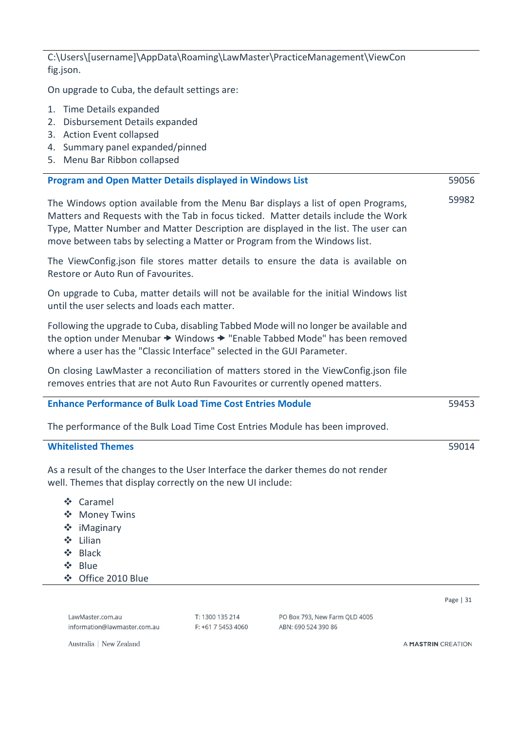C:\Users\[username]\AppData\Roaming\LawMaster\PracticeManagement\ViewCon fig.json.

On upgrade to Cuba, the default settings are:

- 1. Time Details expanded
- 2. Disbursement Details expanded
- 3. Action Event collapsed
- 4. Summary panel expanded/pinned
- 5. Menu Bar Ribbon collapsed

<span id="page-30-0"></span>

| <b>Program and Open Matter Details displayed in Windows List</b>                                                                                                                                                                                                                                                                          | 59056      |
|-------------------------------------------------------------------------------------------------------------------------------------------------------------------------------------------------------------------------------------------------------------------------------------------------------------------------------------------|------------|
| The Windows option available from the Menu Bar displays a list of open Programs,<br>Matters and Requests with the Tab in focus ticked. Matter details include the Work<br>Type, Matter Number and Matter Description are displayed in the list. The user can<br>move between tabs by selecting a Matter or Program from the Windows list. | 59982      |
| The ViewConfig.json file stores matter details to ensure the data is available on<br>Restore or Auto Run of Favourites.                                                                                                                                                                                                                   |            |
| On upgrade to Cuba, matter details will not be available for the initial Windows list<br>until the user selects and loads each matter.                                                                                                                                                                                                    |            |
| Following the upgrade to Cuba, disabling Tabbed Mode will no longer be available and<br>the option under Menubar → Windows → "Enable Tabbed Mode" has been removed<br>where a user has the "Classic Interface" selected in the GUI Parameter.                                                                                             |            |
| On closing LawMaster a reconciliation of matters stored in the ViewConfig.json file<br>removes entries that are not Auto Run Favourites or currently opened matters.                                                                                                                                                                      |            |
| <b>Enhance Performance of Bulk Load Time Cost Entries Module</b>                                                                                                                                                                                                                                                                          | 59453      |
| The performance of the Bulk Load Time Cost Entries Module has been improved.                                                                                                                                                                                                                                                              |            |
| <b>Whitelisted Themes</b>                                                                                                                                                                                                                                                                                                                 | 59014      |
| As a result of the changes to the User Interface the darker themes do not render<br>well. Themes that display correctly on the new UI include:                                                                                                                                                                                            |            |
| ❖ Caramel<br>❖ Money Twins<br>❖ iMaginary<br>❖ Lilian<br>-⊱<br><b>Black</b><br>❖.<br>Blue<br>Office 2010 Blue<br>❖                                                                                                                                                                                                                        |            |
|                                                                                                                                                                                                                                                                                                                                           | Page $ 31$ |

T: 1300 135 214

F: +61 7 5453 4060

PO Box 793, New Farm QLD 4005

ABN: 690 524 390 86

Australia | New Zealand

information@lawmaster.com.au

<span id="page-30-2"></span><span id="page-30-1"></span>LawMaster.com.au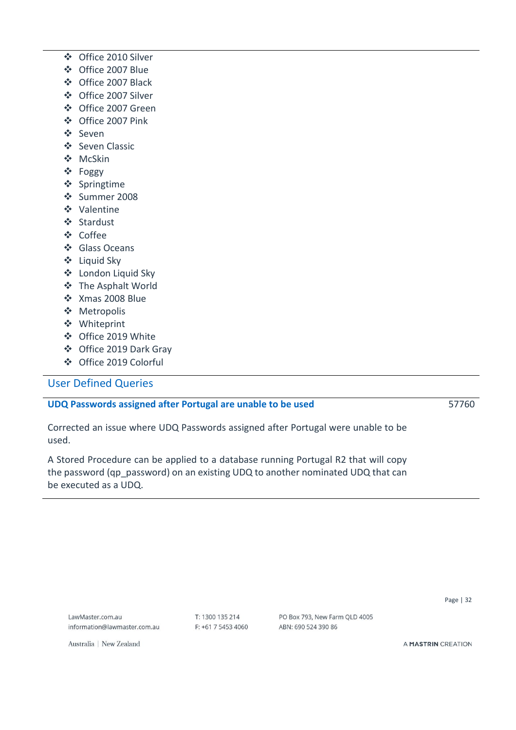- ❖ Office 2010 Silver
- ❖ Office 2007 Blue
- ❖ Office 2007 Black
- ❖ Office 2007 Silver
- ❖ Office 2007 Green
- ❖ Office 2007 Pink
- ❖ Seven
- ❖ Seven Classic
- ❖ McSkin
- ❖ Foggy
- ❖ Springtime
- ❖ Summer 2008
- ❖ Valentine
- ❖ Stardust
- ❖ Coffee
- ❖ Glass Oceans
- ❖ Liquid Sky
- ❖ London Liquid Sky
- ❖ The Asphalt World
- ❖ Xmas 2008 Blue
- ❖ Metropolis
- ❖ Whiteprint
- ❖ Office 2019 White
- ❖ Office 2019 Dark Gray
- ❖ Office 2019 Colorful

### <span id="page-31-0"></span>User Defined Queries

#### <span id="page-31-1"></span>**UDQ Passwords assigned after Portugal are unable to be used**

57760

Corrected an issue where UDQ Passwords assigned after Portugal were unable to be used.

A Stored Procedure can be applied to a database running Portugal R2 that will copy the password (qp\_password) on an existing UDQ to another nominated UDQ that can be executed as a UDQ.

LawMaster com au information@lawmaster.com.au T: 1300 135 214 F: +61 7 5453 4060 PO Box 793, New Farm QLD 4005 ABN: 690 524 390 86

Australia | New Zealand